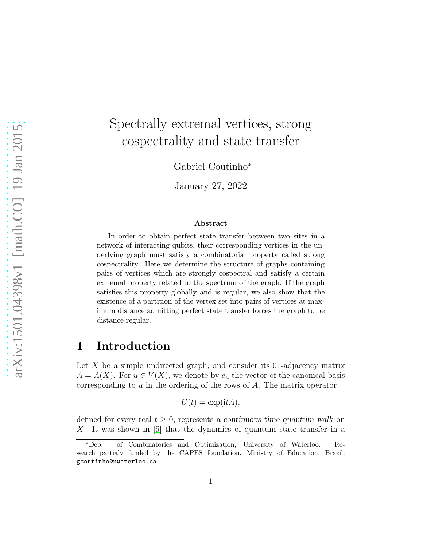# Spectrally extremal vertices, strong cospectrality and state transfer

Gabriel Coutinho<sup>∗</sup>

January 27, 2022

#### Abstract

In order to obtain perfect state transfer between two sites in a network of interacting qubits, their corresponding vertices in the underlying graph must satisfy a combinatorial property called strong cospectrality. Here we determine the structure of graphs containing pairs of vertices which are strongly cospectral and satisfy a certain extremal property related to the spectrum of the graph. If the graph satisfies this property globally and is regular, we also show that the existence of a partition of the vertex set into pairs of vertices at maximum distance admitting perfect state transfer forces the graph to be distance-regular.

## 1 Introduction

Let  $X$  be a simple undirected graph, and consider its 01-adjacency matrix  $A = A(X)$ . For  $u \in V(X)$ , we denote by  $e_u$  the vector of the canonical basis corresponding to  $u$  in the ordering of the rows of  $A$ . The matrix operator

$$
U(t) = \exp(\mathrm{i}tA),
$$

defined for every real  $t > 0$ , represents a continuous-time quantum walk on X. It was shown in [\[5\]](#page-12-0) that the dynamics of quantum state transfer in a

<sup>∗</sup>Dep. of Combinatorics and Optimization, University of Waterloo. Research partialy funded by the CAPES foundation, Ministry of Education, Brazil. gcoutinho@uwaterloo.ca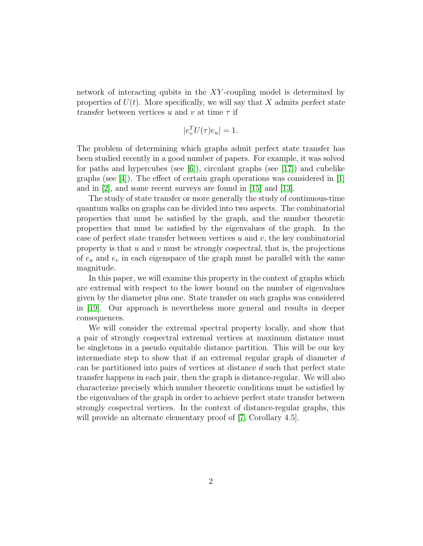network of interacting qubits in the XY -coupling model is determined by properties of  $U(t)$ . More specifically, we will say that X admits perfect state transfer between vertices u and v at time  $\tau$  if

$$
|e_v^T U(\tau) e_u| = 1.
$$

The problem of determining which graphs admit perfect state transfer has been studied recently in a good number of papers. For example, it was solved for paths and hypercubes (see  $[6]$ ), circulant graphs (see  $[17]$ ) and cubelike graphs (see [\[4\]](#page-12-2)). The effect of certain graph operations was considered in [\[1\]](#page-11-0) and in [\[2\]](#page-11-1), and some recent surveys are found in [\[15\]](#page-13-1) and [\[13\]](#page-12-3).

The study of state transfer or more generally the study of continuous-time quantum walks on graphs can be divided into two aspects. The combinatorial properties that must be satisfied by the graph, and the number theoretic properties that must be satisfied by the eigenvalues of the graph. In the case of perfect state transfer between vertices  $u$  and  $v$ , the key combinatorial property is that  $u$  and  $v$  must be strongly cospectral, that is, the projections of  $e_u$  and  $e_v$  in each eigenspace of the graph must be parallel with the same magnitude.

In this paper, we will examine this property in the context of graphs which are extremal with respect to the lower bound on the number of eigenvalues given by the diameter plus one. State transfer on such graphs was considered in [\[19\]](#page-13-2). Our approach is nevertheless more general and results in deeper consequences.

We will consider the extremal spectral property locally, and show that a pair of strongly cospectral extremal vertices at maximum distance must be singletons in a pseudo equitable distance partition. This will be our key intermediate step to show that if an extremal regular graph of diameter d can be partitioned into pairs of vertices at distance d such that perfect state transfer happens in each pair, then the graph is distance-regular. We will also characterize precisely which number theoretic conditions must be satisfied by the eigenvalues of the graph in order to achieve perfect state transfer between strongly cospectral vertices. In the context of distance-regular graphs, this will provide an alternate elementary proof of [\[7,](#page-12-4) Corollary 4.5].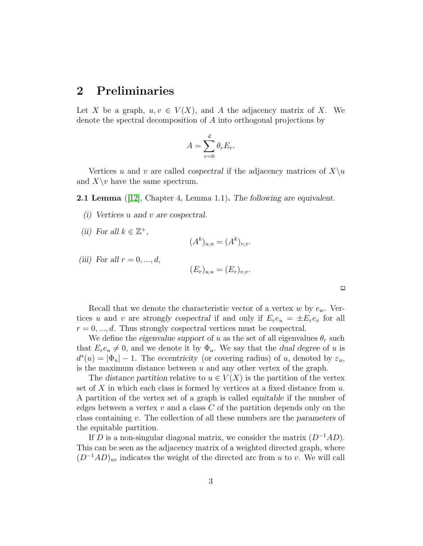#### 2 Preliminaries

Let X be a graph,  $u, v \in V(X)$ , and A the adjacency matrix of X. We denote the spectral decomposition of A into orthogonal projections by

$$
A = \sum_{r=0}^{d} \theta_r E_r.
$$

Vertices u and v are called cospectral if the adjacency matrices of  $X\setminus u$ and  $X\$  have the same spectrum.

<span id="page-2-0"></span>**2.1 Lemma** ([\[12\]](#page-12-5), Chapter 4, Lemma 1.1). The following are equivalent.

- (i) Vertices u and v are cospectral.
- (ii) For all  $k \in \mathbb{Z}^+,$

$$
(A^k)_{u,u} = (A^k)_{v,v}.
$$

(iii) For all  $r = 0, \ldots, d$ ,

$$
(E_r)_{u,u} = (E_r)_{v,v}.
$$

 $\Box$ 

Recall that we denote the characteristic vector of a vertex w by  $e_w$ . Vertices u and v are strongly cospectral if and only if  $E_re_u = \pm E_re_v$  for all  $r = 0, \ldots, d$ . Thus strongly cospectral vertices must be cospectral.

We define the eigenvalue support of u as the set of all eigenvalues  $\theta_r$  such that  $E_re_u \neq 0$ , and we denote it by  $\Phi_u$ . We say that the dual degree of u is  $d^*(u) = |\Phi_u| - 1$ . The eccentricity (or covering radius) of u, denoted by  $\varepsilon_u$ , is the maximum distance between  $u$  and any other vertex of the graph.

The distance partition relative to  $u \in V(X)$  is the partition of the vertex set of X in which each class is formed by vertices at a fixed distance from  $u$ . A partition of the vertex set of a graph is called equitable if the number of edges between a vertex  $v$  and a class  $C$  of the partition depends only on the class containing v. The collection of all these numbers are the parameters of the equitable partition.

If D is a non-singular diagonal matrix, we consider the matrix  $(D^{-1}AD)$ . This can be seen as the adjacency matrix of a weighted directed graph, where  $(D^{-1}AD)_{uv}$  indicates the weight of the directed arc from u to v. We will call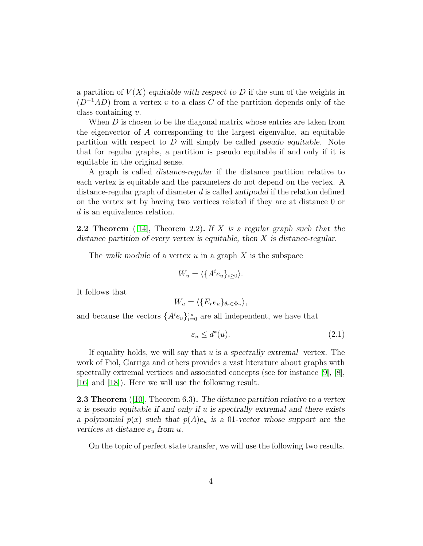a partition of  $V(X)$  equitable with respect to D if the sum of the weights in  $(D^{-1}AD)$  from a vertex v to a class C of the partition depends only of the class containing v.

When  $D$  is chosen to be the diagonal matrix whose entries are taken from the eigenvector of A corresponding to the largest eigenvalue, an equitable partition with respect to  $D$  will simply be called *pseudo equitable*. Note that for regular graphs, a partition is pseudo equitable if and only if it is equitable in the original sense.

A graph is called distance-regular if the distance partition relative to each vertex is equitable and the parameters do not depend on the vertex. A distance-regular graph of diameter d is called antipodal if the relation defined on the vertex set by having two vertices related if they are at distance 0 or d is an equivalence relation.

<span id="page-3-2"></span>**2.2 Theorem** ([\[14\]](#page-12-6), Theorem 2.2). If X is a regular graph such that the distance partition of every vertex is equitable, then X is distance-regular.

The walk module of a vertex  $u$  in a graph  $X$  is the subspace

$$
W_u = \langle \{A^i e_u\}_{i \ge 0} \rangle.
$$

It follows that

$$
W_u = \langle \{E_r e_u\}_{\theta_r \in \Phi_u} \rangle,
$$

and because the vectors  $\{A^i e_u\}_{i=0}^{\varepsilon_u}$  are all independent, we have that

<span id="page-3-1"></span>
$$
\varepsilon_u \le d^*(u). \tag{2.1}
$$

If equality holds, we will say that  $u$  is a spectrally extremal vertex. The work of Fiol, Garriga and others provides a vast literature about graphs with spectrally extremal vertices and associated concepts (see for instance [\[9\]](#page-12-7), [\[8\]](#page-12-8), [\[16\]](#page-13-3) and [\[18\]](#page-13-4)). Here we will use the following result.

<span id="page-3-0"></span>**2.3 Theorem** ([\[10\]](#page-12-9), Theorem 6.3). The distance partition relative to a vertex  $u$  is pseudo equitable if and only if  $u$  is spectrally extremal and there exists a polynomial  $p(x)$  such that  $p(A)e_u$  is a 01-vector whose support are the vertices at distance  $\varepsilon_u$  from u.

On the topic of perfect state transfer, we will use the following two results.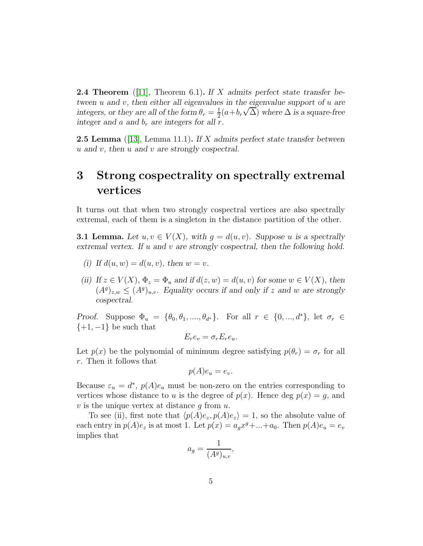<span id="page-4-1"></span>**2.4 Theorem** ([\[11\]](#page-12-10), Theorem 6.1). If X admits perfect state transfer between  $u$  and  $v$ , then either all eigenvalues in the eigenvalue support of  $u$  are integers, or they are all of the form  $\theta_r = \frac{1}{2}$  $\frac{1}{2}(a+b_r\sqrt{\Delta})$  where  $\Delta$  is a square-free integer and a and  $b_r$  are integers for all r.

**2.5 Lemma** ([\[13\]](#page-12-3), Lemma 11.1). If X admits perfect state transfer between u and v, then u and v are strongly cospectral.

## 3 Strong cospectrality on spectrally extremal vertices

It turns out that when two strongly cospectral vertices are also spectrally extremal, each of them is a singleton in the distance partition of the other.

<span id="page-4-0"></span>**3.1 Lemma.** Let  $u, v \in V(X)$ , with  $g = d(u, v)$ . Suppose u is a spectrally extremal vertex. If u and v are strongly cospectral, then the following hold.

- (i) If  $d(u, w) = d(u, v)$ , then  $w = v$ .
- (ii) If  $z \in V(X)$ ,  $\Phi_z = \Phi_u$  and if  $d(z, w) = d(u, v)$  for some  $w \in V(X)$ , then  $(A^g)_{z,w} \leq (A^g)_{u,v}$ . Equality occurs if and only if z and w are strongly cospectral.

Proof. Suppose  $\Phi_u = \{\theta_0, \theta_1, ..., \theta_{d^*}\}.$  For all  $r \in \{0, ..., d^*\},$  let  $\sigma_r \in$  $\{+1, -1\}$  be such that

$$
E_r e_v = \sigma_r E_r e_u.
$$

Let  $p(x)$  be the polynomial of minimum degree satisfying  $p(\theta_r) = \sigma_r$  for all r. Then it follows that

$$
p(A)e_u = e_v.
$$

Because  $\varepsilon_u = d^*$ ,  $p(A)e_u$  must be non-zero on the entries corresponding to vertices whose distance to u is the degree of  $p(x)$ . Hence deg  $p(x) = g$ , and  $v$  is the unique vertex at distance  $g$  from  $u$ .

To see (ii), first note that  $\langle p(A)e_z, p(A)e_z \rangle = 1$ , so the absolute value of each entry in  $p(A)e_z$  is at most 1. Let  $p(x) = a_g x^g + ... + a_0$ . Then  $p(A)e_u = e_v$ implies that

$$
a_g = \frac{1}{(A^g)_{u,v}},
$$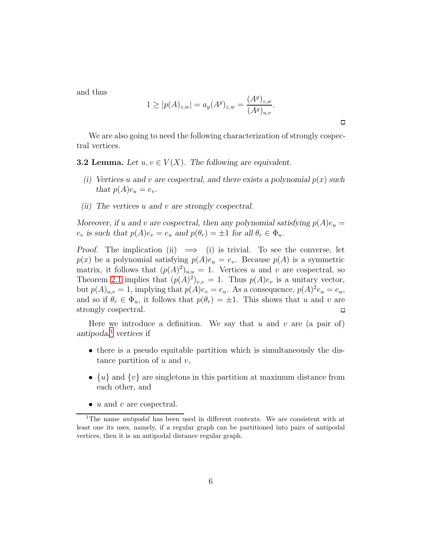and thus

$$
1 \ge |p(A)_{z,w}| = a_g(A^g)_{z,w} = \frac{(A^g)_{z,w}}{(A^g)_{u,v}}.
$$

We are also going to need the following characterization of strongly cospectral vertices.

<span id="page-5-1"></span>**3.2 Lemma.** Let  $u, v \in V(X)$ . The following are equivalent.

- (i) Vertices u and v are cospectral, and there exists a polynomial  $p(x)$  such that  $p(A)e_u = e_v$ .
- (ii) The vertices u and v are strongly cospectral.

Moreover, if u and v are cospectral, then any polynomial satisfying  $p(A)e_u =$  $e_v$  is such that  $p(A)e_v = e_u$  and  $p(\theta_v) = \pm 1$  for all  $\theta_r \in \Phi_u$ .

Proof. The implication (ii)  $\implies$  (i) is trivial. To see the converse, let  $p(x)$  be a polynomial satisfying  $p(A)e_u = e_v$ . Because  $p(A)$  is a symmetric matrix, it follows that  $(p(A)^2)_{u,u} = 1$ . Vertices u and v are cospectral, so Theorem [2.1](#page-2-0) implies that  $(p(A)^2)_{v,v} = 1$ . Thus  $p(A)e_v$  is a unitary vector, but  $p(A)_{u,v} = 1$ , implying that  $p(A)e_v = e_u$ . As a consequence,  $p(A)^2 e_u = e_u$ , and so if  $\theta_r \in \Phi_u$ , it follows that  $p(\theta_r) = \pm 1$ . This shows that u and v are strongly cospectral.  $\Box$ 

Here we introduce a definition. We say that u and v are (a pair of) antipodal<sup>[1](#page-5-0)</sup> vertices if

- there is a pseudo equitable partition which is simultaneously the distance partition of  $u$  and  $v$ ,
- $\{u\}$  and  $\{v\}$  are singletons in this partition at maximum distance from each other, and
- $u$  and  $v$  are cospectral.

 $\Box$ 

<span id="page-5-0"></span><sup>&</sup>lt;sup>1</sup>The name *antipodal* has been used in different contexts. We are consistent with at least one its uses, namely, if a regular graph can be partitioned into pairs of antipodal vertices, then it is an antipodal distance regular graph.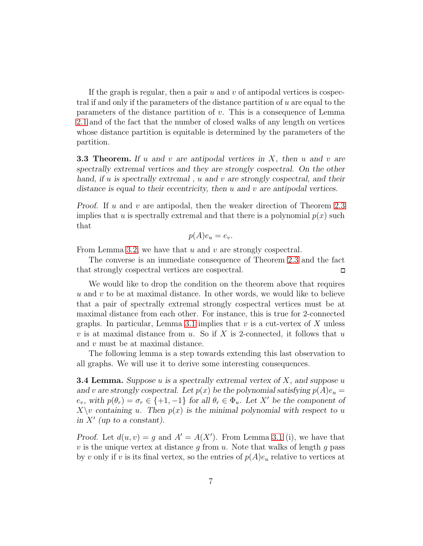If the graph is regular, then a pair  $u$  and  $v$  of antipodal vertices is cospectral if and only if the parameters of the distance partition of u are equal to the parameters of the distance partition of  $v$ . This is a consequence of Lemma [2.1](#page-2-0) and of the fact that the number of closed walks of any length on vertices whose distance partition is equitable is determined by the parameters of the partition.

<span id="page-6-1"></span>**3.3 Theorem.** If u and v are antipodal vertices in  $X$ , then u and v are spectrally extremal vertices and they are strongly cospectral. On the other hand, if u is spectrally extremal, u and v are strongly cospectral, and their distance is equal to their eccentricity, then  $u$  and  $v$  are antipodal vertices.

*Proof.* If u and v are antipodal, then the weaker direction of Theorem [2.3](#page-3-0) implies that u is spectrally extremal and that there is a polynomial  $p(x)$  such that

$$
p(A)e_u = e_v.
$$

From Lemma [3.2,](#page-5-1) we have that  $u$  and  $v$  are strongly cospectral.

The converse is an immediate consequence of Theorem [2.3](#page-3-0) and the fact that strongly cospectral vertices are cospectral.  $\Box$ 

We would like to drop the condition on the theorem above that requires  $u$  and  $v$  to be at maximal distance. In other words, we would like to believe that a pair of spectrally extremal strongly cospectral vertices must be at maximal distance from each other. For instance, this is true for 2-connected graphs. In particular, Lemma [3.1](#page-4-0) implies that  $v$  is a cut-vertex of  $X$  unless v is at maximal distance from u. So if X is 2-connected, it follows that u and  $v$  must be at maximal distance.

The following lemma is a step towards extending this last observation to all graphs. We will use it to derive some interesting consequences.

<span id="page-6-0"></span>**3.4 Lemma.** Suppose u is a spectrally extremal vertex of  $X$ , and suppose u and v are strongly cospectral. Let  $p(x)$  be the polynomial satisfying  $p(A)e_u =$  $e_v$ , with  $p(\theta_r) = \sigma_r \in \{+1, -1\}$  for all  $\theta_r \in \Phi_u$ . Let X' be the component of  $X\setminus v$  containing u. Then  $p(x)$  is the minimal polynomial with respect to u in  $X'$  (up to a constant).

Proof. Let  $d(u, v) = g$  and  $A' = A(X')$ . From Lemma [3.1](#page-4-0) (i), we have that v is the unique vertex at distance g from u. Note that walks of length g pass by v only if v is its final vertex, so the entries of  $p(A)e_u$  relative to vertices at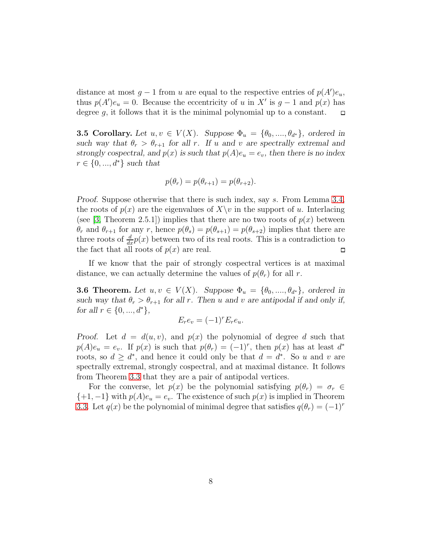distance at most  $g - 1$  from u are equal to the respective entries of  $p(A')e_u$ , thus  $p(A')e_u = 0$ . Because the eccentricity of u in X' is  $g - 1$  and  $p(x)$  has degree  $q$ , it follows that it is the minimal polynomial up to a constant.

**3.5 Corollary.** Let  $u, v \in V(X)$ . Suppose  $\Phi_u = {\theta_0, ..., \theta_{d^*}}$ , ordered in such way that  $\theta_r > \theta_{r+1}$  for all r. If u and v are spectrally extremal and strongly cospectral, and  $p(x)$  is such that  $p(A)e_u = e_v$ , then there is no index  $r \in \{0, ..., d^*\}$  such that

$$
p(\theta_r) = p(\theta_{r+1}) = p(\theta_{r+2}).
$$

Proof. Suppose otherwise that there is such index, say s. From Lemma [3.4,](#page-6-0) the roots of  $p(x)$  are the eigenvalues of  $X\setminus v$  in the support of u. Interlacing (see [\[3,](#page-12-11) Theorem 2.5.1]) implies that there are no two roots of  $p(x)$  between  $\theta_r$  and  $\theta_{r+1}$  for any r, hence  $p(\theta_s) = p(\theta_{s+1}) = p(\theta_{s+2})$  implies that there are three roots of  $\frac{d}{dx}p(x)$  between two of its real roots. This is a contradiction to the fact that all roots of  $p(x)$  are real.  $\Box$ 

If we know that the pair of strongly cospectral vertices is at maximal distance, we can actually determine the values of  $p(\theta_r)$  for all r.

<span id="page-7-0"></span>**3.6 Theorem.** Let  $u, v \in V(X)$ . Suppose  $\Phi_u = {\theta_0, ..., \theta_{d^*}}$ , ordered in such way that  $\theta_r > \theta_{r+1}$  for all r. Then u and v are antipodal if and only if, for all  $r \in \{0, ..., d^*\},$ 

$$
E_r e_v = (-1)^r E_r e_u.
$$

Proof. Let  $d = d(u, v)$ , and  $p(x)$  the polynomial of degree d such that  $p(A)e_u = e_v$ . If  $p(x)$  is such that  $p(\theta_r) = (-1)^r$ , then  $p(x)$  has at least  $d^*$ roots, so  $d \geq d^*$ , and hence it could only be that  $d = d^*$ . So u and v are spectrally extremal, strongly cospectral, and at maximal distance. It follows from Theorem [3.3](#page-6-1) that they are a pair of antipodal vertices.

For the converse, let  $p(x)$  be the polynomial satisfying  $p(\theta_r) = \sigma_r \in$  $\{+1, -1\}$  with  $p(A)e_u = e_v$ . The existence of such  $p(x)$  is implied in Theorem [3.3.](#page-6-1) Let  $q(x)$  be the polynomial of minimal degree that satisfies  $q(\theta_r) = (-1)^r$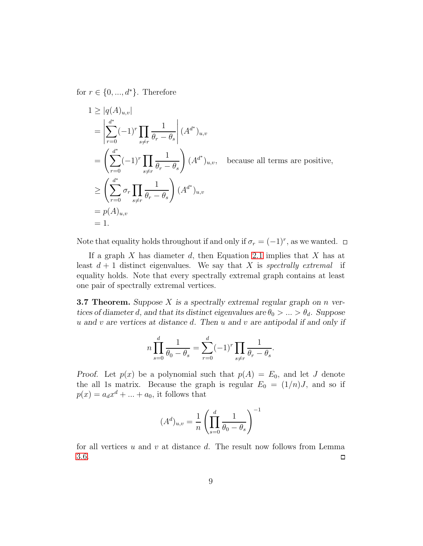for  $r \in \{0, ..., d^*\}$ . Therefore

$$
1 \ge |q(A)_{u,v}|
$$
  
\n
$$
= \left| \sum_{r=0}^{d^*} (-1)^r \prod_{s \ne r} \frac{1}{\theta_r - \theta_s} \right| (A^{d^*})_{u,v}
$$
  
\n
$$
= \left( \sum_{r=0}^{d^*} (-1)^r \prod_{s \ne r} \frac{1}{\theta_r - \theta_s} \right) (A^{d^*})_{u,v}, \text{ because all terms are positive,}
$$
  
\n
$$
\ge \left( \sum_{r=0}^{d^*} \sigma_r \prod_{s \ne r} \frac{1}{\theta_r - \theta_s} \right) (A^{d^*})_{u,v}
$$
  
\n
$$
= p(A)_{u,v}
$$
  
\n
$$
= 1.
$$

Note that equality holds throughout if and only if  $\sigma_r = (-1)^r$ , as we wanted.

If a graph  $X$  has diameter  $d$ , then Equation [2.1](#page-3-1) implies that  $X$  has at least  $d + 1$  distinct eigenvalues. We say that X is spectrally extremal if equality holds. Note that every spectrally extremal graph contains at least one pair of spectrally extremal vertices.

<span id="page-8-0"></span>**3.7 Theorem.** Suppose  $X$  is a spectrally extremal regular graph on  $n$  vertices of diameter d, and that its distinct eigenvalues are  $\theta_0 > ... > \theta_d$ . Suppose  $u$  and  $v$  are vertices at distance  $d$ . Then  $u$  and  $v$  are antipodal if and only if

$$
n \prod_{s=0}^{d} \frac{1}{\theta_0 - \theta_s} = \sum_{r=0}^{d} (-1)^r \prod_{s \neq r} \frac{1}{\theta_r - \theta_s}.
$$

Proof. Let  $p(x)$  be a polynomial such that  $p(A) = E_0$ , and let J denote the all 1s matrix. Because the graph is regular  $E_0 = (1/n)J$ , and so if  $p(x) = a_d x^d + \dots + a_0$ , it follows that

$$
(A^{d})_{u,v} = \frac{1}{n} \left( \prod_{s=0}^{d} \frac{1}{\theta_{0} - \theta_{s}} \right)^{-1}
$$

for all vertices u and v at distance d. The result now follows from Lemma [3.6.](#page-7-0)  $\Box$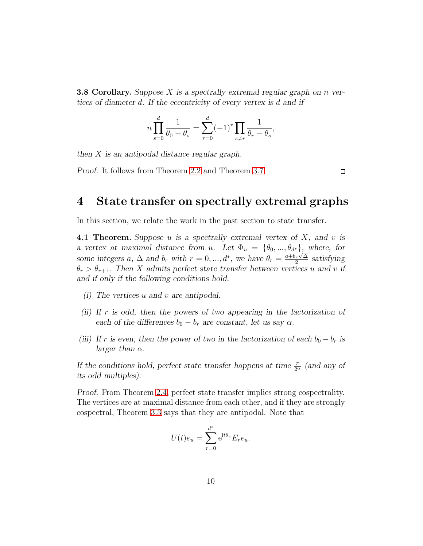<span id="page-9-1"></span>**3.8 Corollary.** Suppose X is a spectrally extremal regular graph on n vertices of diameter d. If the eccentricity of every vertex is d and if

$$
n \prod_{s=0}^{d} \frac{1}{\theta_0 - \theta_s} = \sum_{r=0}^{d} (-1)^r \prod_{s \neq r} \frac{1}{\theta_r - \theta_s},
$$

then X is an antipodal distance regular graph.

Proof. It follows from Theorem [2.2](#page-3-2) and Theorem [3.7.](#page-8-0)

 $\Box$ 

### 4 State transfer on spectrally extremal graphs

In this section, we relate the work in the past section to state transfer.

<span id="page-9-0"></span>4.1 Theorem. Suppose u is a spectrally extremal vertex of  $X$ , and v is a vertex at maximal distance from u. Let  $\Phi_u = {\theta_0, ..., \theta_{d^*}}$ , where, for some integers a,  $\Delta$  and  $b_r$  with  $r = 0, ..., d^*$ , we have  $\theta_r = \frac{a + b_r \sqrt{\Delta}}{2}$  $\frac{r\sqrt{\Delta}}{2}$  satisfying  $\theta_r > \theta_{r+1}$ . Then X admits perfect state transfer between vertices u and v if and if only if the following conditions hold.

- (i) The vertices u and v are antipodal.
- (ii) If r is odd, then the powers of two appearing in the factorization of each of the differences  $b_0 - b_r$  are constant, let us say  $\alpha$ .
- (iii) If r is even, then the power of two in the factorization of each  $b_0 b_r$  is larger than  $\alpha$ .

If the conditions hold, perfect state transfer happens at time  $\frac{\pi}{2^{\alpha}}$  (and any of its odd multiples).

Proof. From Theorem [2.4,](#page-4-1) perfect state transfer implies strong cospectrality. The vertices are at maximal distance from each other, and if they are strongly cospectral, Theorem [3.3](#page-6-1) says that they are antipodal. Note that

$$
U(t)e_u = \sum_{r=0}^{d^*} e^{it\theta_r} E_r e_u.
$$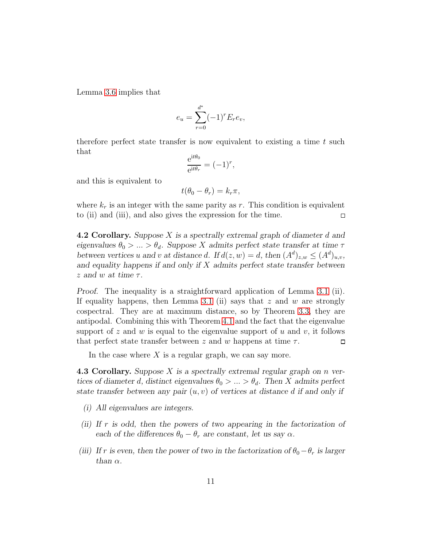Lemma [3.6](#page-7-0) implies that

$$
e_u = \sum_{r=0}^{d^*} (-1)^r E_r e_v,
$$

therefore perfect state transfer is now equivalent to existing a time t such that

$$
\frac{e^{it\theta_0}}{e^{it\theta_r}} = (-1)^r,
$$

and this is equivalent to

$$
t(\theta_0 - \theta_r) = k_r \pi,
$$

where  $k_r$  is an integer with the same parity as r. This condition is equivalent to (ii) and (iii), and also gives the expression for the time.  $\Box$ 

4.2 Corollary. Suppose X is a spectrally extremal graph of diameter d and eigenvalues  $\theta_0 > ... > \theta_d$ . Suppose X admits perfect state transfer at time  $\tau$ between vertices u and v at distance d. If  $d(z, w) = d$ , then  $(A^d)_{z, w} \leq (A^d)_{u,v}$ , and equality happens if and only if  $X$  admits perfect state transfer between z and w at time  $\tau$ .

Proof. The inequality is a straightforward application of Lemma [3.1](#page-4-0) (ii). If equality happens, then Lemma [3.1](#page-4-0) (ii) says that  $z$  and  $w$  are strongly cospectral. They are at maximum distance, so by Theorem [3.3,](#page-6-1) they are antipodal. Combining this with Theorem [4.1](#page-9-0) and the fact that the eigenvalue support of z and w is equal to the eigenvalue support of u and v, it follows that perfect state transfer between z and w happens at time  $\tau$ .  $\Box$ 

In the case where  $X$  is a regular graph, we can say more.

**4.3 Corollary.** Suppose  $X$  is a spectrally extremal regular graph on  $n$  vertices of diameter d, distinct eigenvalues  $\theta_0 > ... > \theta_d$ . Then X admits perfect state transfer between any pair  $(u, v)$  of vertices at distance d if and only if

- (i) All eigenvalues are integers.
- (ii) If r is odd, then the powers of two appearing in the factorization of each of the differences  $\theta_0 - \theta_r$  are constant, let us say  $\alpha$ .
- (iii) If r is even, then the power of two in the factorization of  $\theta_0-\theta_r$  is larger than  $\alpha$ .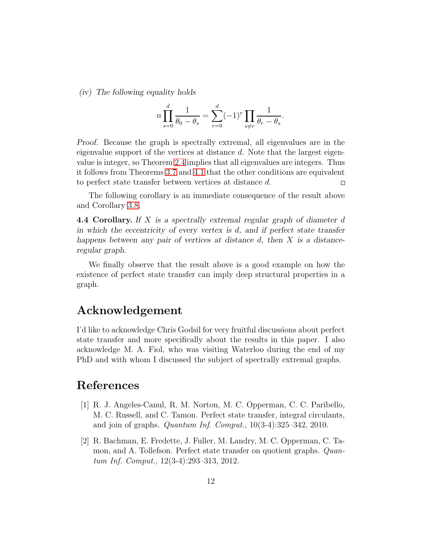(iv) The following equality holds

$$
n \prod_{s=0}^{d} \frac{1}{\theta_0 - \theta_s} = \sum_{r=0}^{d} (-1)^r \prod_{s \neq r} \frac{1}{\theta_r - \theta_s}.
$$

Proof. Because the graph is spectrally extremal, all eigenvalues are in the eigenvalue support of the vertices at distance d. Note that the largest eigenvalue is integer, so Theorem [2.4](#page-4-1) implies that all eigenvalues are integers. Thus it follows from Theorems [3.7](#page-8-0) and [4.1](#page-9-0) that the other conditions are equivalent to perfect state transfer between vertices at distance d.  $\Box$ 

The following corollary is an immediate consequence of the result above and Corollary [3.8.](#page-9-1)

4.4 Corollary. If X is a spectrally extremal regular graph of diameter d in which the eccentricity of every vertex is  $d$ , and if perfect state transfer happens between any pair of vertices at distance  $d$ , then  $X$  is a distanceregular graph.

We finally observe that the result above is a good example on how the existence of perfect state transfer can imply deep structural properties in a graph.

### Acknowledgement

I'd like to acknowledge Chris Godsil for very fruitful discussions about perfect state transfer and more specifically about the results in this paper. I also acknowledge M. A. Fiol, who was visiting Waterloo during the end of my PhD and with whom I discussed the subject of spectrally extremal graphs.

## <span id="page-11-0"></span>References

- [1] R. J. Angeles-Canul, R. M. Norton, M. C. Opperman, C. C. Paribello, M. C. Russell, and C. Tamon. Perfect state transfer, integral circulants, and join of graphs. *Quantum Inf. Comput.*,  $10(3-4):325-342$ ,  $2010$ .
- <span id="page-11-1"></span>[2] R. Bachman, E. Fredette, J. Fuller, M. Landry, M. C. Opperman, C. Tamon, and A. Tollefson. Perfect state transfer on quotient graphs. Quantum Inf. Comput., 12(3-4):293–313, 2012.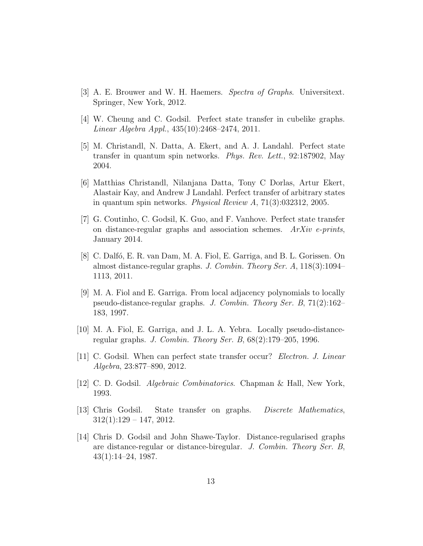- <span id="page-12-11"></span><span id="page-12-2"></span>[3] A. E. Brouwer and W. H. Haemers. Spectra of Graphs. Universitext. Springer, New York, 2012.
- <span id="page-12-0"></span>[4] W. Cheung and C. Godsil. Perfect state transfer in cubelike graphs. Linear Algebra Appl., 435(10):2468–2474, 2011.
- [5] M. Christandl, N. Datta, A. Ekert, and A. J. Landahl. Perfect state transfer in quantum spin networks. Phys. Rev. Lett., 92:187902, May 2004.
- <span id="page-12-1"></span>[6] Matthias Christandl, Nilanjana Datta, Tony C Dorlas, Artur Ekert, Alastair Kay, and Andrew J Landahl. Perfect transfer of arbitrary states in quantum spin networks. Physical Review A, 71(3):032312, 2005.
- <span id="page-12-4"></span>[7] G. Coutinho, C. Godsil, K. Guo, and F. Vanhove. Perfect state transfer on distance-regular graphs and association schemes. ArXiv e-prints, January 2014.
- <span id="page-12-8"></span>[8] C. Dalf´o, E. R. van Dam, M. A. Fiol, E. Garriga, and B. L. Gorissen. On almost distance-regular graphs. J. Combin. Theory Ser. A, 118(3):1094– 1113, 2011.
- <span id="page-12-7"></span>[9] M. A. Fiol and E. Garriga. From local adjacency polynomials to locally pseudo-distance-regular graphs. J. Combin. Theory Ser. B, 71(2):162– 183, 1997.
- <span id="page-12-10"></span><span id="page-12-9"></span>[10] M. A. Fiol, E. Garriga, and J. L. A. Yebra. Locally pseudo-distanceregular graphs. J. Combin. Theory Ser. B, 68(2):179–205, 1996.
- <span id="page-12-5"></span>[11] C. Godsil. When can perfect state transfer occur? Electron. J. Linear Algebra, 23:877–890, 2012.
- <span id="page-12-3"></span>[12] C. D. Godsil. Algebraic Combinatorics. Chapman & Hall, New York, 1993.
- [13] Chris Godsil. State transfer on graphs. Discrete Mathematics,  $312(1):129 - 147, 2012.$
- <span id="page-12-6"></span>[14] Chris D. Godsil and John Shawe-Taylor. Distance-regularised graphs are distance-regular or distance-biregular. J. Combin. Theory Ser. B, 43(1):14–24, 1987.